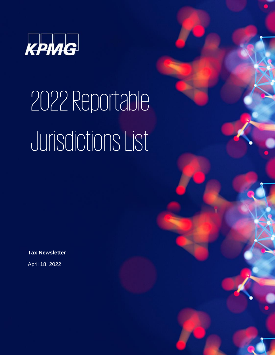

## 2022Reportable Jurisdictions List

© 2022 KPMG, a Panamanian civil partnership and a member firm of the KPMG global organization of independent member firms affiliated with KPMG

**Tax Newsletter**

April 18, 2022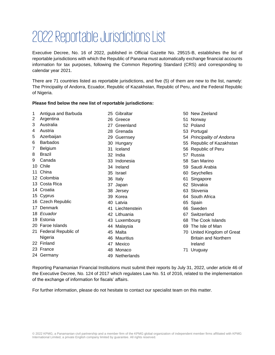## 2022Reportable Jurisdictions List

Executive Decree, No. 16 of 2022, published in Official Gazette No. 29515-B, establishes the list of reportable jurisdictions with which the Republic of Panama must automatically exchange financial accounts information for tax purposes, following the Common Reporting Standard (CRS) and corresponding to calendar year 2021.

There are 71 countries listed as reportable jurisdictions, and five (5) of them are new to the list, namely: The Principality of Andorra, Ecuador, Republic of Kazakhstan, Republic of Peru, and the Federal Republic of Nigeria.

## **Please find below the new list of reportable jurisdictions:**

| 1  | Antigua and Barbuda    | 25 Gibraltar     |
|----|------------------------|------------------|
| 2  | Argentina              | 26 Greece        |
| 3  | Australia              | 27 Greenland     |
| 4  | Austria                | 28 Grenada       |
| 5  | Azerbaijan             | 29 Guernsey      |
| 6  | <b>Barbados</b>        | 30 Hungary       |
| 7  | Belgium                | 31 Iceland       |
| 8  | <b>Brazil</b>          | 32 India         |
| 9  | Canada                 | 33 Indonesia     |
| 10 | Chile                  | 34 Ireland       |
| 11 | China                  | 35 Israel        |
|    | 12 Colombia            | 36 Italy         |
|    | 13 Costa Rica          | 37 Japan         |
|    | 14 Croatia             | 38 Jersey        |
|    | 15 Cyprus              | 39 Korea         |
|    | 16 Czech Republic      | 40 Latvia        |
| 17 | Denmark                | 41 Liechtenstein |
|    | 18 Ecuador             | 42 Lithuania     |
|    | 19 Estonia             | 43 Luxembourg    |
|    | 20 Faroe Islands       | 44 Malaysia      |
|    | 21 Federal Republic of | 45 Malta         |
|    | Nigeria                | 46 Mauritius     |
| 22 | Finland                | 47 Mexico        |
|    | 23 France              | 48 Monaco        |
| 24 | Germany                | 49 Netherlands   |
|    |                        |                  |

- New Zeeland
- Norway
- Poland
- Portugal
- *Principality of Andorra*
- Republic of Kazakhstan
- Republic of Peru
- Russia
- San Marino
- Saudi Arabia
- Seychelles
- Singapore
- Slovakia
- Slovenia
- South Africa
- Spain
- Sweden
- Switzerland
- The Cook Islands
- The Isle of Man
- United Kingdom of Great Britain and Northern Ireland
- Uruguay

Reporting Panamanian Financial Institutions must submit their reports by July 31, 2022, under article 46 of the Executive Decree, No. 124 of 2017 which regulates Law No. 51 of 2016, related to the implementation of the exchange of information for fiscals' affairs.

For further information, please do not hesitate to contact our specialist team on this matter.